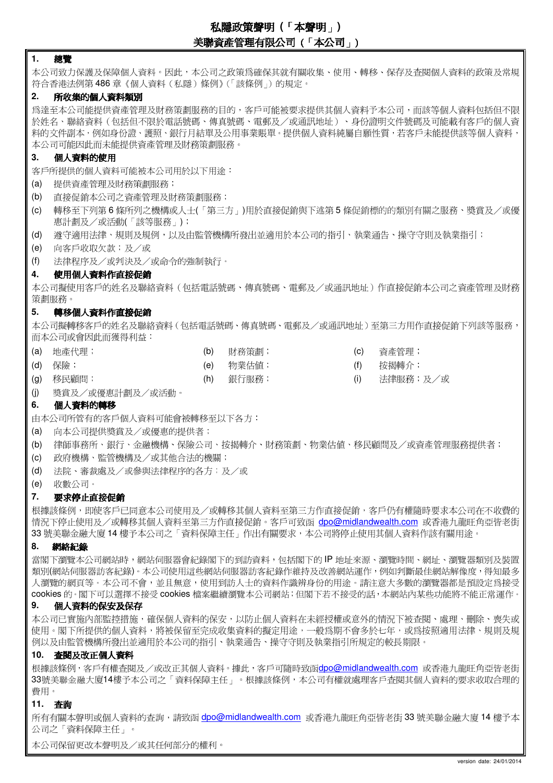# 私隱政策聲明 **(**「本聲明」**)**  美聯資產管理有限公司 (「本公司」)

## **1.** 總覽

本公司致力保護及保障個人資料。因此,本公司之政策為確保其就有關收集、使用、轉移、保存及查閱個人資料的政策及常規 符合香港法例第 486 章《個人資料(私隱)條例》(「該條例」)的規定。

## **2.** 所收集的個人資料類別

為達至本公司能提供資產管理及財務策劃服務的目的,客戶可能被要求提供其個人資料予本公司,而該等個人資料包括但不限 於姓名、聯絡資料(包括但不限於電話號碼、傳真號碼、電郵及/或通訊地址)、身份證明文件號碼及可能載有客戶的個人資 料的文件副本,例如身份證、護照、銀行月結單及公用事業賬單。提供個人資料純屬自願性質,若客戶未能提供該等個人資料, 本公司可能因此而未能提供資產管理及財務策劃服務。

# **3.** 個人資料的使用

客戶所提供的個人資料可能被本公司用於以下用途:

- (a) 提供資產管理及財務策劃服務;
- (b) 直接促銷本公司之資產管理及財務策劃服務;
- (c) 轉移至下列第 6 條所列之機構或人士(「第三方」)用於直接促銷與下述第 5 條促銷標的的類別有關之服務、獎賞及/或優 惠計劃及/或活動(「該等服務」);
- (d) 遵守適用法律、規則及規例,以及由監管機構所發出並適用於本公司的指引、執業通告、操守守則及執業指引;
- (e) 向客戶收取欠款;及/或
- (f) 法律程序及/或判決及/或命令的強制執行。

## **4.** 使用個人資料作直接促銷

本公司擬使用客戶的姓名及聯絡資料(包括電話號碼、傳真號碼、電郵及/或通訊地址)作直接促銷本公司之資產管理及財務 策劃服務。

## **5.** 轉移個人資料作直接促銷

本公司擬轉移客戶的姓名及聯絡資料(包括電話號碼、傳真號碼、電郵及/或通訊地址)至第三方用作直接促銷下列該等服務, 而本公司或會因此而獲得利益:

- (a) 地產代理; (b) 財務策劃; (c) 資產管理; (d) 保險; (e) 物業估值; (f) 按揭轉介;
	-
	-
- (g) 移民顧問; (h) 銀行服務; (i) 法律服務;及/或
- (j) 獎賞及/或優惠計劃及/或活動。

# **6.** 個人資料的轉移

由本公司所管有的客戶個人資料可能會被轉移至以下各方:

- (a) 向本公司提供獎賞及/或優惠的提供者;
- (b) 律師事務所、銀行、金融機構、保險公司、按揭轉介、財務策劃、物業估值、移民顧問及/或資產管理服務提供者;
- (c) 政府機構、監管機構及/或其他合法的機關;
- (d) 法院、審裁處及/或參與法律程序的各方;及/或
- (e) 收數公司。

# **7.** 要求停止直接促銷

根據該條例,即使客戶已同意本公司使用及/或轉移其個人資料至第三方作直接促銷,客戶仍有權隨時要求本公司在不收費的 情況下停止使用及/或轉移其個人資料至第三方作直接促銷。客戶可致函 dpo@midlandwealth.com 或香港九龍旺角亞皆老街 33 號美聯金融大廈 14 樓予本公司之「資料保障主任」作出有關要求,本公司將停止使用其個人資料作該有關用途。

# **8.** 網絡紀錄

當閣下瀏覽本公司網站時,網站伺服器會紀錄閣下的到訪資料,包括閣下的IP 地址來源、瀏覽時間、網址、瀏覽器類別及裝置 類別(網站伺服器訪客紀錄)。本公司使用這些網站伺服器訪客紀錄作維持及改善網站運作,例如判斷最佳網站解像度,得知最多 人瀏覽的網頁等。本公司不會,並且無意,使用到訪人士的資料作識辨身份的用途。請注意大多數的瀏覽器都是預設定為接受 cookies 的。閣下可以選擇不接受 cookies 檔案繼續瀏覽本公司網站;但閣下若不接受的話,本網站內某些功能將不能正常運作。

# **9.** 個人資料的保安及保存

本公司已實施內部監控措施,確保個人資料的保安,以防止個人資料在未經授權或意外的情況下被查閱、處理、刪除、喪失或 使用。閣下所提供的個人資料,將被保留至完成收集資料的擬定用途,一般為期不會多於七年,或為按照適用法律、規則及規 例以及由監管機構所發出並適用於本公司的指引、執業通告、操守守則及執業指引所規定的較長期限。

# **10.** 查閱及改正個人資料

根據該條例,客戶有權查閱及/或改正其個人資料。據此,客戶可隨時致函dpo@midlandwealth.com 或香港九龍旺角亞皆老街 33號美聯金融大廈14樓予本公司之「資料保障主任」。根據該條例,本公司有權就處理客戶查閱其個人資料的要求收取合理的 費用。

# **11.** 查詢

所有有關本聲明或個人資料的查詢,請致函 dpo@midlandwealth.com 或香港九龍旺角亞皆老街 33 號美聯金融大廈 14 樓予本 公司之「資料保障主任」。

本公司保留更改本聲明及/或其任何部分的權利。